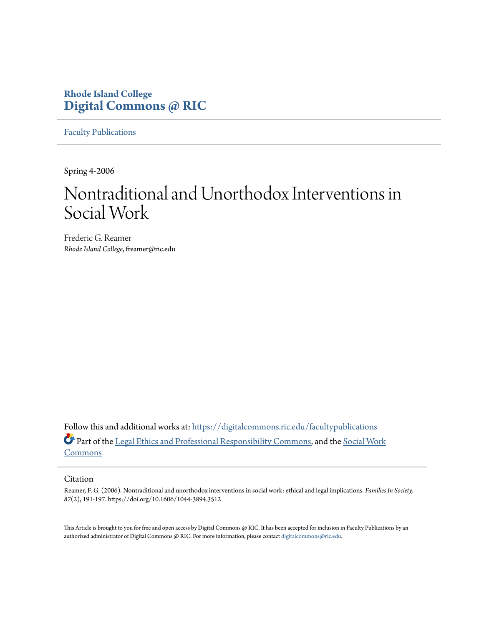## **Rhode Island College [Digital Commons @ RIC](https://digitalcommons.ric.edu?utm_source=digitalcommons.ric.edu%2Ffacultypublications%2F178&utm_medium=PDF&utm_campaign=PDFCoverPages)**

[Faculty Publications](https://digitalcommons.ric.edu/facultypublications?utm_source=digitalcommons.ric.edu%2Ffacultypublications%2F178&utm_medium=PDF&utm_campaign=PDFCoverPages)

Spring 4-2006

## Nontraditional and Unorthodox Interventions in Social Work

Frederic G. Reamer *Rhode Island College*, freamer@ric.edu

Follow this and additional works at: [https://digitalcommons.ric.edu/facultypublications](https://digitalcommons.ric.edu/facultypublications?utm_source=digitalcommons.ric.edu%2Ffacultypublications%2F178&utm_medium=PDF&utm_campaign=PDFCoverPages) Part of the [Legal Ethics and Professional Responsibility Commons,](http://network.bepress.com/hgg/discipline/895?utm_source=digitalcommons.ric.edu%2Ffacultypublications%2F178&utm_medium=PDF&utm_campaign=PDFCoverPages) and the [Social Work](http://network.bepress.com/hgg/discipline/713?utm_source=digitalcommons.ric.edu%2Ffacultypublications%2F178&utm_medium=PDF&utm_campaign=PDFCoverPages) [Commons](http://network.bepress.com/hgg/discipline/713?utm_source=digitalcommons.ric.edu%2Ffacultypublications%2F178&utm_medium=PDF&utm_campaign=PDFCoverPages)

#### Citation

Reamer, F. G. (2006). Nontraditional and unorthodox interventions in social work: ethical and legal implications. *Families In Society, 87*(2), 191-197. https://doi.org/10.1606/1044-3894.3512

This Article is brought to you for free and open access by Digital Commons @ RIC. It has been accepted for inclusion in Faculty Publications by an authorized administrator of Digital Commons @ RIC. For more information, please contact [digitalcommons@ric.edu.](mailto:digitalcommons@ric.edu)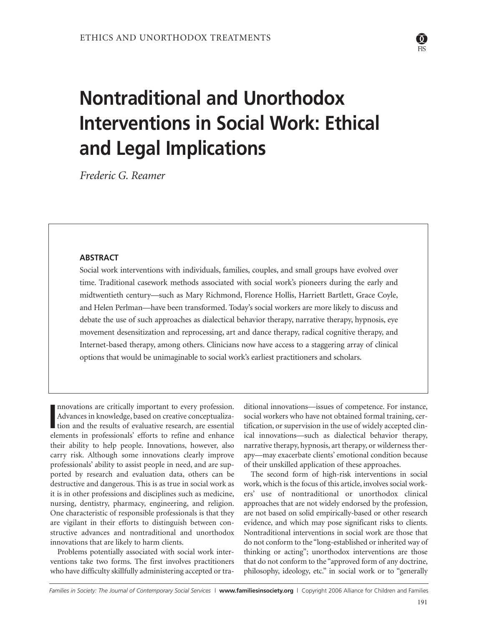# **Nontraditional and Unorthodox Interventions in Social Work: Ethical and Legal Implications**

*Frederic G. Reamer*

#### **ABSTRACT**

Social work interventions with individuals, families, couples, and small groups have evolved over time. Traditional casework methods associated with social work's pioneers during the early and midtwentieth century—such as Mary Richmond, Florence Hollis, Harriett Bartlett, Grace Coyle, and Helen Perlman—have been transformed. Today's social workers are more likely to discuss and debate the use of such approaches as dialectical behavior therapy, narrative therapy, hypnosis, eye movement desensitization and reprocessing, art and dance therapy, radical cognitive therapy, and Internet-based therapy, among others. Clinicians now have access to a staggering array of clinical options that would be unimaginable to social work's earliest practitioners and scholars.

Innovations are critically important to every profession.<br>Advances in knowledge, based on creative conceptualiza-<br>tion and the results of evaluative research, are essential<br>elements in professionals' efforts to refine and nnovations are critically important to every profession. Advances in knowledge, based on creative conceptualization and the results of evaluative research, are essential their ability to help people. Innovations, however, also carry risk. Although some innovations clearly improve professionals' ability to assist people in need, and are supported by research and evaluation data, others can be destructive and dangerous. This is as true in social work as it is in other professions and disciplines such as medicine, nursing, dentistry, pharmacy, engineering, and religion. One characteristic of responsible professionals is that they are vigilant in their efforts to distinguish between constructive advances and nontraditional and unorthodox innovations that are likely to harm clients.

Problems potentially associated with social work interventions take two forms. The first involves practitioners who have difficulty skillfully administering accepted or traditional innovations—issues of competence. For instance, social workers who have not obtained formal training, certification, or supervision in the use of widely accepted clinical innovations—such as dialectical behavior therapy, narrative therapy, hypnosis, art therapy, or wilderness therapy—may exacerbate clients' emotional condition because of their unskilled application of these approaches.

The second form of high-risk interventions in social work, which is the focus of this article, involves social workers' use of nontraditional or unorthodox clinical approaches that are not widely endorsed by the profession, are not based on solid empirically-based or other research evidence, and which may pose significant risks to clients. Nontraditional interventions in social work are those that do not conform to the "long-established or inherited way of thinking or acting"; unorthodox interventions are those that do not conform to the "approved form of any doctrine, philosophy, ideology, etc." in social work or to "generally

*Families in Society: The Journal of Contemporary Social Services* | **www.familiesinsociety.org** | Copyright 2006 Alliance for Children and Families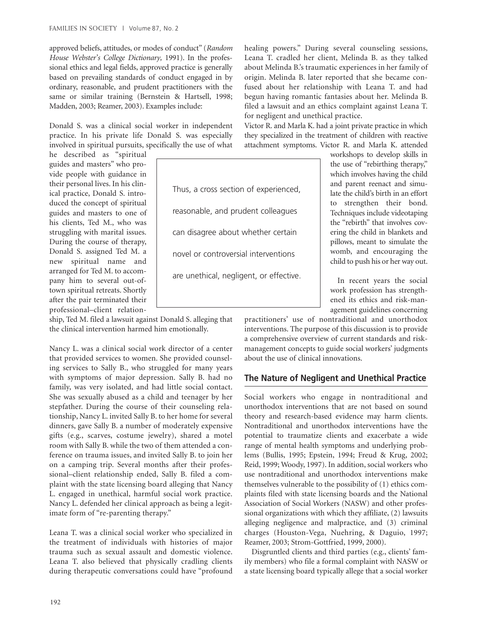approved beliefs, attitudes, or modes of conduct" (*Random House Webster's College Dictionary,* 1991). In the professional ethics and legal fields, approved practice is generally based on prevailing standards of conduct engaged in by ordinary, reasonable, and prudent practitioners with the same or similar training (Bernstein & Hartsell, 1998; Madden, 2003; Reamer, 2003). Examples include:

Donald S. was a clinical social worker in independent practice. In his private life Donald S. was especially involved in spiritual pursuits, specifically the use of what

he described as "spiritual guides and masters" who provide people with guidance in their personal lives. In his clinical practice, Donald S. introduced the concept of spiritual guides and masters to one of his clients, Ted M., who was struggling with marital issues. During the course of therapy, Donald S. assigned Ted M. a new spiritual name and arranged for Ted M. to accompany him to several out-oftown spiritual retreats. Shortly after the pair terminated their professional–client relation-

ship, Ted M. filed a lawsuit against Donald S. alleging that the clinical intervention harmed him emotionally.

Nancy L. was a clinical social work director of a center that provided services to women. She provided counseling services to Sally B., who struggled for many years with symptoms of major depression. Sally B. had no family, was very isolated, and had little social contact. She was sexually abused as a child and teenager by her stepfather. During the course of their counseling relationship, Nancy L. invited Sally B. to her home for several dinners, gave Sally B. a number of moderately expensive gifts (e.g., scarves, costume jewelry), shared a motel room with Sally B. while the two of them attended a conference on trauma issues, and invited Sally B. to join her on a camping trip. Several months after their professional–client relationship ended, Sally B. filed a complaint with the state licensing board alleging that Nancy L. engaged in unethical, harmful social work practice. Nancy L. defended her clinical approach as being a legitimate form of "re-parenting therapy."

Leana T. was a clinical social worker who specialized in the treatment of individuals with histories of major trauma such as sexual assault and domestic violence. Leana T. also believed that physically cradling clients during therapeutic conversations could have "profound healing powers." During several counseling sessions, Leana T. cradled her client, Melinda B. as they talked about Melinda B.'s traumatic experiences in her family of origin. Melinda B. later reported that she became confused about her relationship with Leana T. and had begun having romantic fantasies about her. Melinda B. filed a lawsuit and an ethics complaint against Leana T. for negligent and unethical practice.

Victor R. and Marla K. had a joint private practice in which they specialized in the treatment of children with reactive attachment symptoms. Victor R. and Marla K. attended

Thus, a cross section of experienced, reasonable, and prudent colleagues can disagree about whether certain novel or controversial interventions are unethical, negligent, or effective. workshops to develop skills in the use of "rebirthing therapy," which involves having the child and parent reenact and simulate the child's birth in an effort to strengthen their bond. Techniques include videotaping the "rebirth" that involves covering the child in blankets and pillows, meant to simulate the womb, and encouraging the child to push his or her way out.

In recent years the social work profession has strengthened its ethics and risk-management guidelines concerning

practitioners' use of nontraditional and unorthodox interventions. The purpose of this discussion is to provide a comprehensive overview of current standards and riskmanagement concepts to guide social workers' judgments about the use of clinical innovations.

### **The Nature of Negligent and Unethical Practice**

Social workers who engage in nontraditional and unorthodox interventions that are not based on sound theory and research-based evidence may harm clients. Nontraditional and unorthodox interventions have the potential to traumatize clients and exacerbate a wide range of mental health symptoms and underlying problems (Bullis, 1995; Epstein, 1994; Freud & Krug, 2002; Reid, 1999; Woody, 1997). In addition, social workers who use nontraditional and unorthodox interventions make themselves vulnerable to the possibility of (1) ethics complaints filed with state licensing boards and the National Association of Social Workers (NASW) and other professional organizations with which they affiliate, (2) lawsuits alleging negligence and malpractice, and (3) criminal charges (Houston-Vega, Nuehring, & Daguio, 1997; Reamer, 2003; Strom-Gottfried, 1999, 2000).

Disgruntled clients and third parties (e.g., clients' family members) who file a formal complaint with NASW or a state licensing board typically allege that a social worker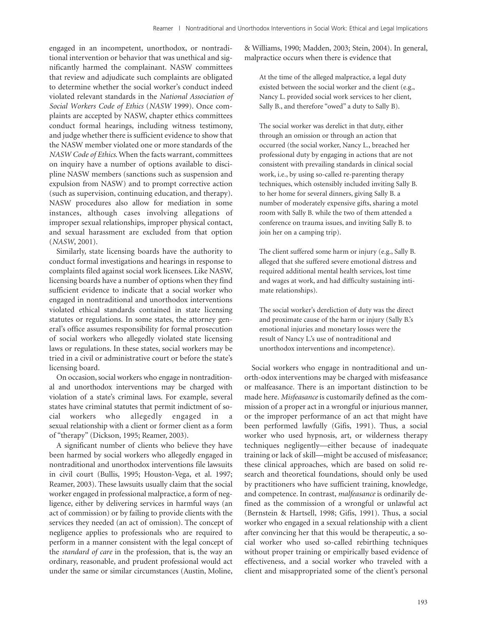engaged in an incompetent, unorthodox, or nontraditional intervention or behavior that was unethical and significantly harmed the complainant. NASW committees that review and adjudicate such complaints are obligated to determine whether the social worker's conduct indeed violated relevant standards in the *National Association of Social Workers Code of Ethics* (*NASW* 1999). Once complaints are accepted by NASW, chapter ethics committees conduct formal hearings, including witness testimony, and judge whether there is sufficient evidence to show that the NASW member violated one or more standards of the *NASW Code of Ethics*. When the facts warrant, committees on inquiry have a number of options available to discipline NASW members (sanctions such as suspension and expulsion from NASW) and to prompt corrective action (such as supervision, continuing education, and therapy). NASW procedures also allow for mediation in some instances, although cases involving allegations of improper sexual relationships, improper physical contact, and sexual harassment are excluded from that option (*NASW*, 2001).

Similarly, state licensing boards have the authority to conduct formal investigations and hearings in response to complaints filed against social work licensees. Like NASW, licensing boards have a number of options when they find sufficient evidence to indicate that a social worker who engaged in nontraditional and unorthodox interventions violated ethical standards contained in state licensing statutes or regulations. In some states, the attorney general's office assumes responsibility for formal prosecution of social workers who allegedly violated state licensing laws or regulations. In these states, social workers may be tried in a civil or administrative court or before the state's licensing board.

On occasion, social workers who engage in nontraditional and unorthodox interventions may be charged with violation of a state's criminal laws. For example, several states have criminal statutes that permit indictment of social workers who allegedly engaged in sexual relationship with a client or former client as a form of "therapy" (Dickson, 1995; Reamer, 2003).

A significant number of clients who believe they have been harmed by social workers who allegedly engaged in nontraditional and unorthodox interventions file lawsuits in civil court (Bullis, 1995; Houston-Vega, et al. 1997; Reamer, 2003). These lawsuits usually claim that the social worker engaged in professional malpractice, a form of negligence, either by delivering services in harmful ways (an act of commission) or by failing to provide clients with the services they needed (an act of omission). The concept of negligence applies to professionals who are required to perform in a manner consistent with the legal concept of the *standard of care* in the profession, that is, the way an ordinary, reasonable, and prudent professional would act under the same or similar circumstances (Austin, Moline, & Williams, 1990; Madden, 2003; Stein, 2004). In general, malpractice occurs when there is evidence that

At the time of the alleged malpractice, a legal duty existed between the social worker and the client (e.g., Nancy L. provided social work services to her client, Sally B., and therefore "owed" a duty to Sally B).

The social worker was derelict in that duty, either through an omission or through an action that occurred (the social worker, Nancy L., breached her professional duty by engaging in actions that are not consistent with prevailing standards in clinical social work, i.e., by using so-called re-parenting therapy techniques, which ostensibly included inviting Sally B. to her home for several dinners, giving Sally B. a number of moderately expensive gifts, sharing a motel room with Sally B. while the two of them attended a conference on trauma issues, and inviting Sally B. to join her on a camping trip).

The client suffered some harm or injury (e.g., Sally B. alleged that she suffered severe emotional distress and required additional mental health services, lost time and wages at work, and had difficulty sustaining intimate relationships).

The social worker's dereliction of duty was the direct and proximate cause of the harm or injury (Sally B.'s emotional injuries and monetary losses were the result of Nancy L.'s use of nontraditional and unorthodox interventions and incompetence).

Social workers who engage in nontraditional and unorth-odox interventions may be charged with misfeasance or malfeasance*.* There is an important distinction to be made here. *Misfeasance* is customarily defined as the commission of a proper act in a wrongful or injurious manner, or the improper performance of an act that might have been performed lawfully (Gifis, 1991). Thus, a social worker who used hypnosis, art, or wilderness therapy techniques negligently—either because of inadequate training or lack of skill—might be accused of misfeasance; these clinical approaches, which are based on solid research and theoretical foundations, should only be used by practitioners who have sufficient training, knowledge, and competence. In contrast, *malfeasance* is ordinarily defined as the commission of a wrongful or unlawful act (Bernstein & Hartsell, 1998; Gifis, 1991). Thus, a social worker who engaged in a sexual relationship with a client after convincing her that this would be therapeutic, a social worker who used so-called rebirthing techniques without proper training or empirically based evidence of effectiveness, and a social worker who traveled with a client and misappropriated some of the client's personal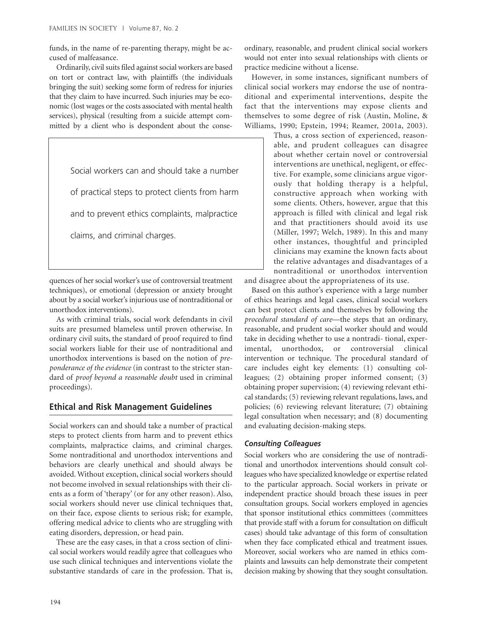funds, in the name of re-parenting therapy, might be accused of malfeasance.

Ordinarily, civil suits filed against social workers are based on tort or contract law, with plaintiffs (the individuals bringing the suit) seeking some form of redress for injuries that they claim to have incurred. Such injuries may be economic (lost wages or the costs associated with mental health services), physical (resulting from a suicide attempt committed by a client who is despondent about the conse-

Social workers can and should take a number of practical steps to protect clients from harm and to prevent ethics complaints, malpractice claims, and criminal charges.

quences of her social worker's use of controversial treatment techniques), or emotional (depression or anxiety brought about by a social worker's injurious use of nontraditional or unorthodox interventions).

As with criminal trials, social work defendants in civil suits are presumed blameless until proven otherwise. In ordinary civil suits, the standard of proof required to find social workers liable for their use of nontraditional and unorthodox interventions is based on the notion of *preponderance of the evidence* (in contrast to the stricter standard of *proof beyond a reasonable doubt* used in criminal proceedings).

#### **Ethical and Risk Management Guidelines**

Social workers can and should take a number of practical steps to protect clients from harm and to prevent ethics complaints, malpractice claims, and criminal charges. Some nontraditional and unorthodox interventions and behaviors are clearly unethical and should always be avoided. Without exception, clinical social workers should not become involved in sexual relationships with their clients as a form of 'therapy' (or for any other reason). Also, social workers should never use clinical techniques that, on their face, expose clients to serious risk; for example, offering medical advice to clients who are struggling with eating disorders, depression, or head pain.

These are the easy cases, in that a cross section of clinical social workers would readily agree that colleagues who use such clinical techniques and interventions violate the substantive standards of care in the profession. That is,

ordinary, reasonable, and prudent clinical social workers would not enter into sexual relationships with clients or practice medicine without a license.

However, in some instances, significant numbers of clinical social workers may endorse the use of nontraditional and experimental interventions, despite the fact that the interventions may expose clients and themselves to some degree of risk (Austin, Moline, & Williams, 1990; Epstein, 1994; Reamer, 2001a, 2003).

> Thus, a cross section of experienced, reasonable, and prudent colleagues can disagree about whether certain novel or controversial interventions are unethical, negligent, or effective. For example, some clinicians argue vigorously that holding therapy is a helpful, constructive approach when working with some clients. Others, however, argue that this approach is filled with clinical and legal risk and that practitioners should avoid its use (Miller, 1997; Welch, 1989). In this and many other instances, thoughtful and principled clinicians may examine the known facts about the relative advantages and disadvantages of a nontraditional or unorthodox intervention

and disagree about the appropriateness of its use.

Based on this author's experience with a large number of ethics hearings and legal cases, clinical social workers can best protect clients and themselves by following the *procedural standard of care*—the steps that an ordinary, reasonable, and prudent social worker should and would take in deciding whether to use a nontradi- tional, experimental, unorthodox, or controversial clinical intervention or technique. The procedural standard of care includes eight key elements: (1) consulting colleagues; (2) obtaining proper informed consent; (3) obtaining proper supervision; (4) reviewing relevant ethical standards; (5) reviewing relevant regulations, laws, and policies; (6) reviewing relevant literature; (7) obtaining legal consultation when necessary; and (8) documenting and evaluating decision-making steps.

#### *Consulting Colleagues*

Social workers who are considering the use of nontraditional and unorthodox interventions should consult colleagues who have specialized knowledge or expertise related to the particular approach. Social workers in private or independent practice should broach these issues in peer consultation groups. Social workers employed in agencies that sponsor institutional ethics committees (committees that provide staff with a forum for consultation on difficult cases) should take advantage of this form of consultation when they face complicated ethical and treatment issues. Moreover, social workers who are named in ethics complaints and lawsuits can help demonstrate their competent decision making by showing that they sought consultation.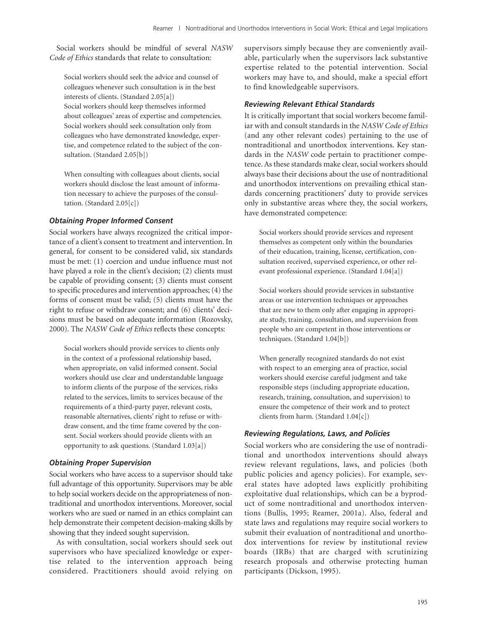Social workers should be mindful of several *NASW Code of Ethics* standards that relate to consultation:

Social workers should seek the advice and counsel of colleagues whenever such consultation is in the best interests of clients. (Standard 2.05[a]) Social workers should keep themselves informed about colleagues' areas of expertise and competencies. Social workers should seek consultation only from colleagues who have demonstrated knowledge, expertise, and competence related to the subject of the consultation. (Standard 2.05[b])

When consulting with colleagues about clients, social workers should disclose the least amount of information necessary to achieve the purposes of the consultation. (Standard 2.05[c])

#### *Obtaining Proper Informed Consent*

Social workers have always recognized the critical importance of a client's consent to treatment and intervention. In general, for consent to be considered valid, six standards must be met: (1) coercion and undue influence must not have played a role in the client's decision; (2) clients must be capable of providing consent; (3) clients must consent to specific procedures and intervention approaches; (4) the forms of consent must be valid; (5) clients must have the right to refuse or withdraw consent; and (6) clients' decisions must be based on adequate information (Rozovsky, 2000). The *NASW Code of Ethics* reflects these concepts:

Social workers should provide services to clients only in the context of a professional relationship based, when appropriate, on valid informed consent. Social workers should use clear and understandable language to inform clients of the purpose of the services, risks related to the services, limits to services because of the requirements of a third-party payer, relevant costs, reasonable alternatives, clients' right to refuse or withdraw consent, and the time frame covered by the consent. Social workers should provide clients with an opportunity to ask questions. (Standard 1.03[a])

#### *Obtaining Proper Supervision*

Social workers who have access to a supervisor should take full advantage of this opportunity. Supervisors may be able to help social workers decide on the appropriateness of nontraditional and unorthodox interventions. Moreover, social workers who are sued or named in an ethics complaint can help demonstrate their competent decision-making skills by showing that they indeed sought supervision.

As with consultation, social workers should seek out supervisors who have specialized knowledge or expertise related to the intervention approach being considered. Practitioners should avoid relying on supervisors simply because they are conveniently available, particularly when the supervisors lack substantive expertise related to the potential intervention. Social workers may have to, and should, make a special effort to find knowledgeable supervisors.

#### *Reviewing Relevant Ethical Standards*

It is critically important that social workers become familiar with and consult standards in the *NASW Code of Ethics* (and any other relevant codes) pertaining to the use of nontraditional and unorthodox interventions. Key standards in the *NASW* code pertain to practitioner competence. As these standards make clear, social workers should always base their decisions about the use of nontraditional and unorthodox interventions on prevailing ethical standards concerning practitioners' duty to provide services only in substantive areas where they, the social workers, have demonstrated competence:

Social workers should provide services and represent themselves as competent only within the boundaries of their education, training, license, certification, consultation received, supervised experience, or other relevant professional experience. (Standard 1.04[a])

Social workers should provide services in substantive areas or use intervention techniques or approaches that are new to them only after engaging in appropriate study, training, consultation, and supervision from people who are competent in those interventions or techniques. (Standard 1.04[b])

When generally recognized standards do not exist with respect to an emerging area of practice, social workers should exercise careful judgment and take responsible steps (including appropriate education, research, training, consultation, and supervision) to ensure the competence of their work and to protect clients from harm. (Standard 1.04[c])

#### *Reviewing Regulations, Laws, and Policies*

Social workers who are considering the use of nontraditional and unorthodox interventions should always review relevant regulations, laws, and policies (both public policies and agency policies). For example, several states have adopted laws explicitly prohibiting exploitative dual relationships, which can be a byproduct of some nontraditional and unorthodox interventions (Bullis, 1995; Reamer, 2001a). Also, federal and state laws and regulations may require social workers to submit their evaluation of nontraditional and unorthodox interventions for review by institutional review boards (IRBs) that are charged with scrutinizing research proposals and otherwise protecting human participants (Dickson, 1995).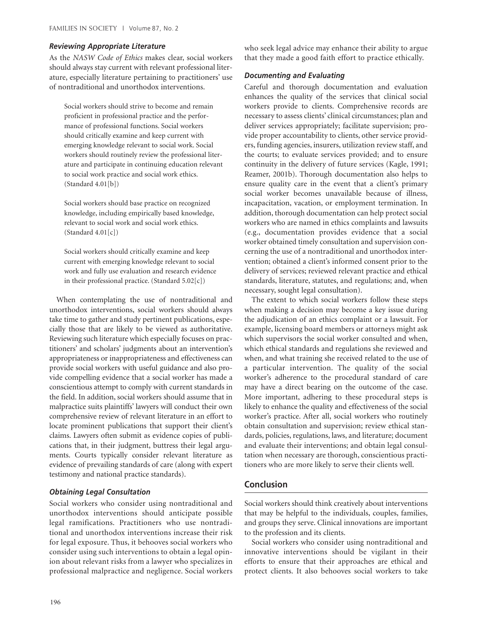#### *Reviewing Appropriate Literature*

As the *NASW Code of Ethics* makes clear, social workers should always stay current with relevant professional literature, especially literature pertaining to practitioners' use of nontraditional and unorthodox interventions.

Social workers should strive to become and remain proficient in professional practice and the performance of professional functions. Social workers should critically examine and keep current with emerging knowledge relevant to social work. Social workers should routinely review the professional literature and participate in continuing education relevant to social work practice and social work ethics. (Standard 4.01[b])

Social workers should base practice on recognized knowledge, including empirically based knowledge, relevant to social work and social work ethics.  $(Standard 4.01[c])$ 

Social workers should critically examine and keep current with emerging knowledge relevant to social work and fully use evaluation and research evidence in their professional practice. (Standard 5.02[c])

When contemplating the use of nontraditional and unorthodox interventions, social workers should always take time to gather and study pertinent publications, especially those that are likely to be viewed as authoritative. Reviewing such literature which especially focuses on practitioners' and scholars' judgments about an intervention's appropriateness or inappropriateness and effectiveness can provide social workers with useful guidance and also provide compelling evidence that a social worker has made a conscientious attempt to comply with current standards in the field. In addition, social workers should assume that in malpractice suits plaintiffs' lawyers will conduct their own comprehensive review of relevant literature in an effort to locate prominent publications that support their client's claims. Lawyers often submit as evidence copies of publications that, in their judgment, buttress their legal arguments. Courts typically consider relevant literature as evidence of prevailing standards of care (along with expert testimony and national practice standards).

#### *Obtaining Legal Consultation*

Social workers who consider using nontraditional and unorthodox interventions should anticipate possible legal ramifications. Practitioners who use nontraditional and unorthodox interventions increase their risk for legal exposure. Thus, it behooves social workers who consider using such interventions to obtain a legal opinion about relevant risks from a lawyer who specializes in professional malpractice and negligence. Social workers who seek legal advice may enhance their ability to argue that they made a good faith effort to practice ethically.

#### *Documenting and Evaluating*

Careful and thorough documentation and evaluation enhances the quality of the services that clinical social workers provide to clients. Comprehensive records are necessary to assess clients' clinical circumstances; plan and deliver services appropriately; facilitate supervision; provide proper accountability to clients, other service providers, funding agencies, insurers, utilization review staff, and the courts; to evaluate services provided; and to ensure continuity in the delivery of future services (Kagle, 1991; Reamer, 2001b). Thorough documentation also helps to ensure quality care in the event that a client's primary social worker becomes unavailable because of illness, incapacitation, vacation, or employment termination. In addition, thorough documentation can help protect social workers who are named in ethics complaints and lawsuits (e.g., documentation provides evidence that a social worker obtained timely consultation and supervision concerning the use of a nontraditional and unorthodox intervention; obtained a client's informed consent prior to the delivery of services; reviewed relevant practice and ethical standards, literature, statutes, and regulations; and, when necessary, sought legal consultation).

The extent to which social workers follow these steps when making a decision may become a key issue during the adjudication of an ethics complaint or a lawsuit. For example, licensing board members or attorneys might ask which supervisors the social worker consulted and when, which ethical standards and regulations she reviewed and when, and what training she received related to the use of a particular intervention. The quality of the social worker's adherence to the procedural standard of care may have a direct bearing on the outcome of the case. More important, adhering to these procedural steps is likely to enhance the quality and effectiveness of the social worker's practice. After all, social workers who routinely obtain consultation and supervision; review ethical standards, policies, regulations, laws, and literature; document and evaluate their interventions; and obtain legal consultation when necessary are thorough, conscientious practitioners who are more likely to serve their clients well.

#### **Conclusion**

Social workers should think creatively about interventions that may be helpful to the individuals, couples, families, and groups they serve. Clinical innovations are important to the profession and its clients.

Social workers who consider using nontraditional and innovative interventions should be vigilant in their efforts to ensure that their approaches are ethical and protect clients. It also behooves social workers to take